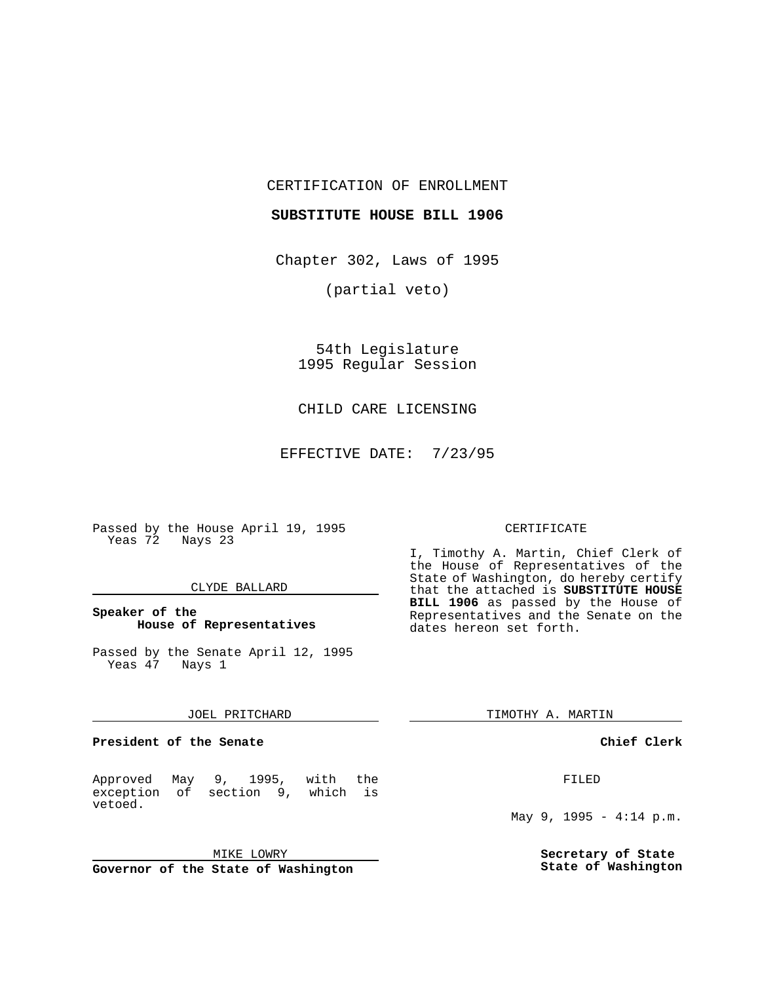CERTIFICATION OF ENROLLMENT

### **SUBSTITUTE HOUSE BILL 1906**

Chapter 302, Laws of 1995

(partial veto)

54th Legislature 1995 Regular Session

CHILD CARE LICENSING

EFFECTIVE DATE: 7/23/95

Passed by the House April 19, 1995 Yeas 72 Nays 23

#### CLYDE BALLARD

# **Speaker of the House of Representatives**

Passed by the Senate April 12, 1995 Yeas 47 Nays 1

#### JOEL PRITCHARD

**President of the Senate**

Approved May 9, 1995, with the exception of section 9, which is vetoed.

MIKE LOWRY

**Governor of the State of Washington**

#### CERTIFICATE

I, Timothy A. Martin, Chief Clerk of the House of Representatives of the State of Washington, do hereby certify that the attached is **SUBSTITUTE HOUSE BILL 1906** as passed by the House of Representatives and the Senate on the dates hereon set forth.

TIMOTHY A. MARTIN

## **Chief Clerk**

FILED

May 9, 1995 - 4:14 p.m.

**Secretary of State State of Washington**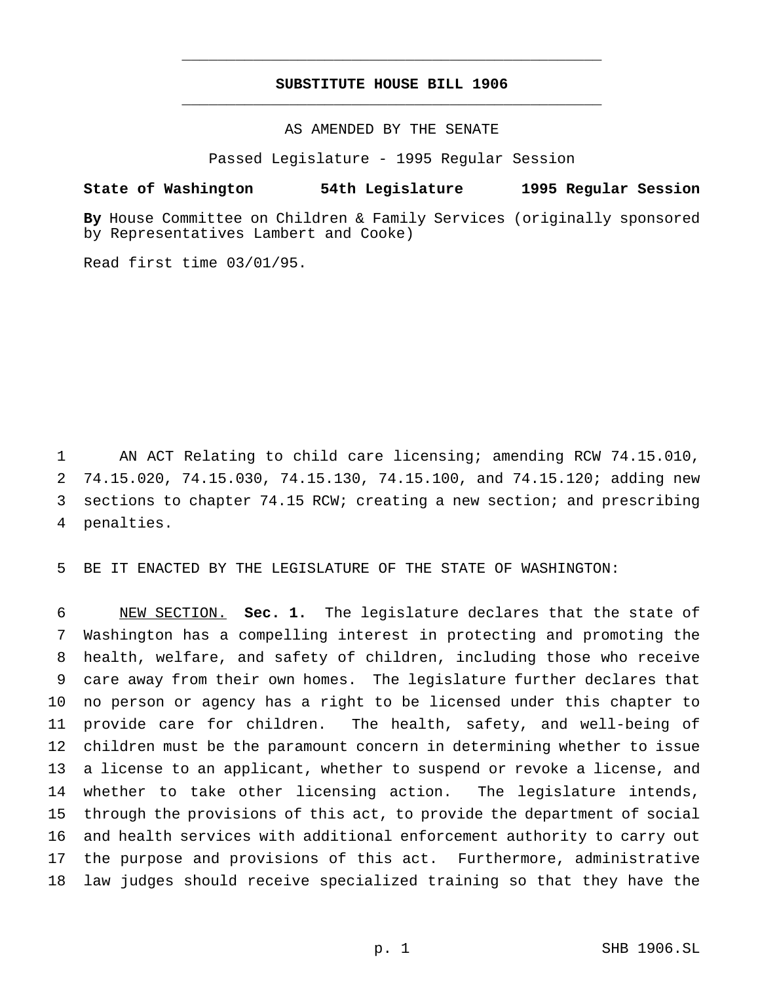# **SUBSTITUTE HOUSE BILL 1906** \_\_\_\_\_\_\_\_\_\_\_\_\_\_\_\_\_\_\_\_\_\_\_\_\_\_\_\_\_\_\_\_\_\_\_\_\_\_\_\_\_\_\_\_\_\_\_

\_\_\_\_\_\_\_\_\_\_\_\_\_\_\_\_\_\_\_\_\_\_\_\_\_\_\_\_\_\_\_\_\_\_\_\_\_\_\_\_\_\_\_\_\_\_\_

AS AMENDED BY THE SENATE

Passed Legislature - 1995 Regular Session

## **State of Washington 54th Legislature 1995 Regular Session**

**By** House Committee on Children & Family Services (originally sponsored by Representatives Lambert and Cooke)

Read first time 03/01/95.

 AN ACT Relating to child care licensing; amending RCW 74.15.010, 74.15.020, 74.15.030, 74.15.130, 74.15.100, and 74.15.120; adding new sections to chapter 74.15 RCW; creating a new section; and prescribing penalties.

BE IT ENACTED BY THE LEGISLATURE OF THE STATE OF WASHINGTON:

 NEW SECTION. **Sec. 1.** The legislature declares that the state of Washington has a compelling interest in protecting and promoting the health, welfare, and safety of children, including those who receive care away from their own homes. The legislature further declares that no person or agency has a right to be licensed under this chapter to provide care for children. The health, safety, and well-being of children must be the paramount concern in determining whether to issue a license to an applicant, whether to suspend or revoke a license, and 14 whether to take other licensing action. The legislature intends, through the provisions of this act, to provide the department of social and health services with additional enforcement authority to carry out the purpose and provisions of this act. Furthermore, administrative law judges should receive specialized training so that they have the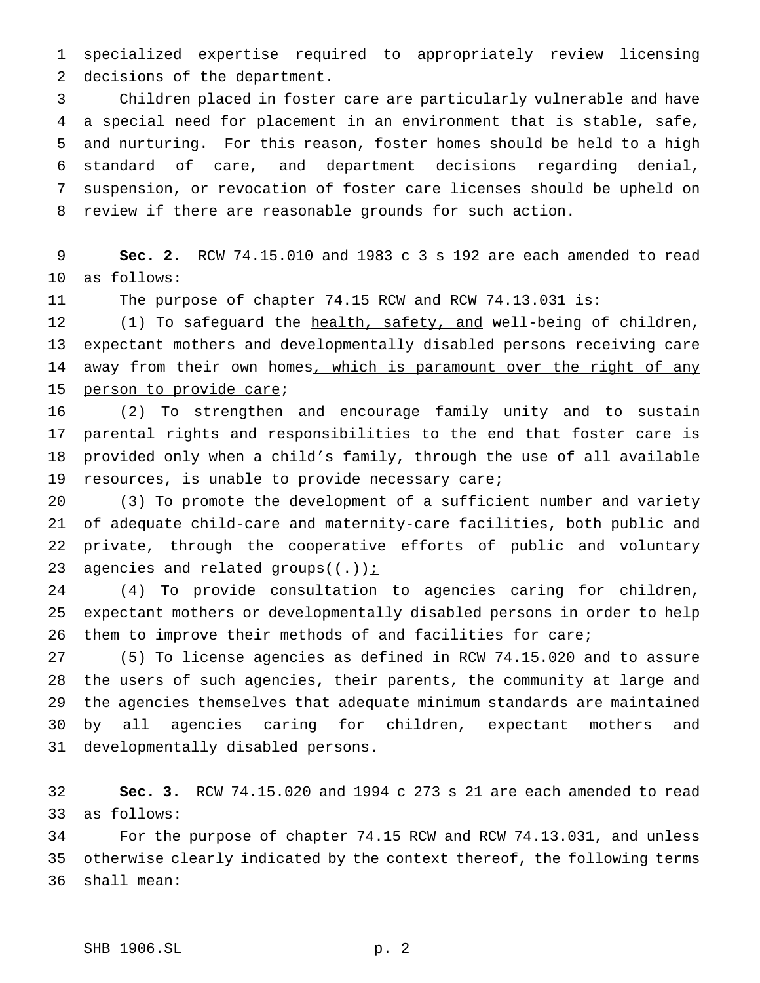specialized expertise required to appropriately review licensing decisions of the department.

 Children placed in foster care are particularly vulnerable and have a special need for placement in an environment that is stable, safe, and nurturing. For this reason, foster homes should be held to a high standard of care, and department decisions regarding denial, suspension, or revocation of foster care licenses should be upheld on review if there are reasonable grounds for such action.

 **Sec. 2.** RCW 74.15.010 and 1983 c 3 s 192 are each amended to read as follows:

The purpose of chapter 74.15 RCW and RCW 74.13.031 is:

 (1) To safeguard the health, safety, and well-being of children, expectant mothers and developmentally disabled persons receiving care 14 away from their own homes, which is paramount over the right of any person to provide care;

 (2) To strengthen and encourage family unity and to sustain parental rights and responsibilities to the end that foster care is provided only when a child's family, through the use of all available resources, is unable to provide necessary care;

 (3) To promote the development of a sufficient number and variety of adequate child-care and maternity-care facilities, both public and private, through the cooperative efforts of public and voluntary 23 agencies and related groups( $(-)$ )  $\frac{1}{2}$ 

 (4) To provide consultation to agencies caring for children, expectant mothers or developmentally disabled persons in order to help them to improve their methods of and facilities for care;

 (5) To license agencies as defined in RCW 74.15.020 and to assure the users of such agencies, their parents, the community at large and the agencies themselves that adequate minimum standards are maintained by all agencies caring for children, expectant mothers and developmentally disabled persons.

 **Sec. 3.** RCW 74.15.020 and 1994 c 273 s 21 are each amended to read as follows:

 For the purpose of chapter 74.15 RCW and RCW 74.13.031, and unless otherwise clearly indicated by the context thereof, the following terms shall mean: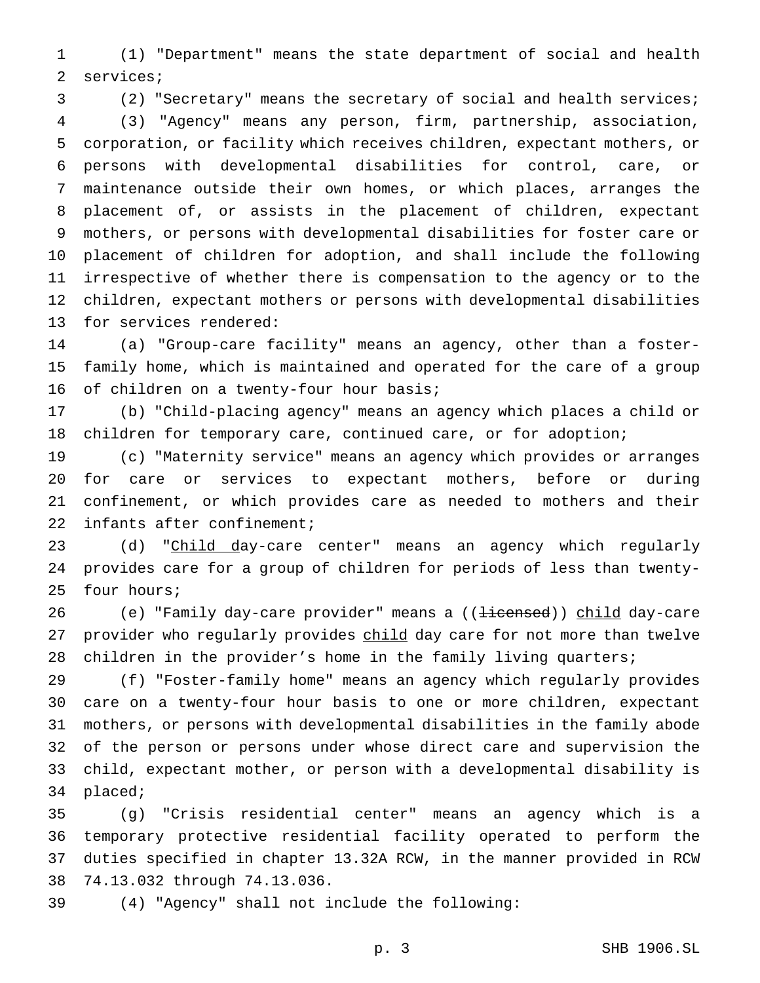(1) "Department" means the state department of social and health services;

(2) "Secretary" means the secretary of social and health services;

 (3) "Agency" means any person, firm, partnership, association, corporation, or facility which receives children, expectant mothers, or persons with developmental disabilities for control, care, or maintenance outside their own homes, or which places, arranges the placement of, or assists in the placement of children, expectant mothers, or persons with developmental disabilities for foster care or placement of children for adoption, and shall include the following irrespective of whether there is compensation to the agency or to the children, expectant mothers or persons with developmental disabilities for services rendered:

 (a) "Group-care facility" means an agency, other than a foster- family home, which is maintained and operated for the care of a group 16 of children on a twenty-four hour basis;

 (b) "Child-placing agency" means an agency which places a child or children for temporary care, continued care, or for adoption;

 (c) "Maternity service" means an agency which provides or arranges for care or services to expectant mothers, before or during confinement, or which provides care as needed to mothers and their infants after confinement;

23 (d) "Child day-care center" means an agency which regularly provides care for a group of children for periods of less than twenty-four hours;

26 (e) "Family day-care provider" means a ((<del>licensed</del>)) child day-care 27 provider who regularly provides child day care for not more than twelve children in the provider's home in the family living quarters;

 (f) "Foster-family home" means an agency which regularly provides care on a twenty-four hour basis to one or more children, expectant mothers, or persons with developmental disabilities in the family abode of the person or persons under whose direct care and supervision the child, expectant mother, or person with a developmental disability is placed;

 (g) "Crisis residential center" means an agency which is a temporary protective residential facility operated to perform the duties specified in chapter 13.32A RCW, in the manner provided in RCW 74.13.032 through 74.13.036.

(4) "Agency" shall not include the following: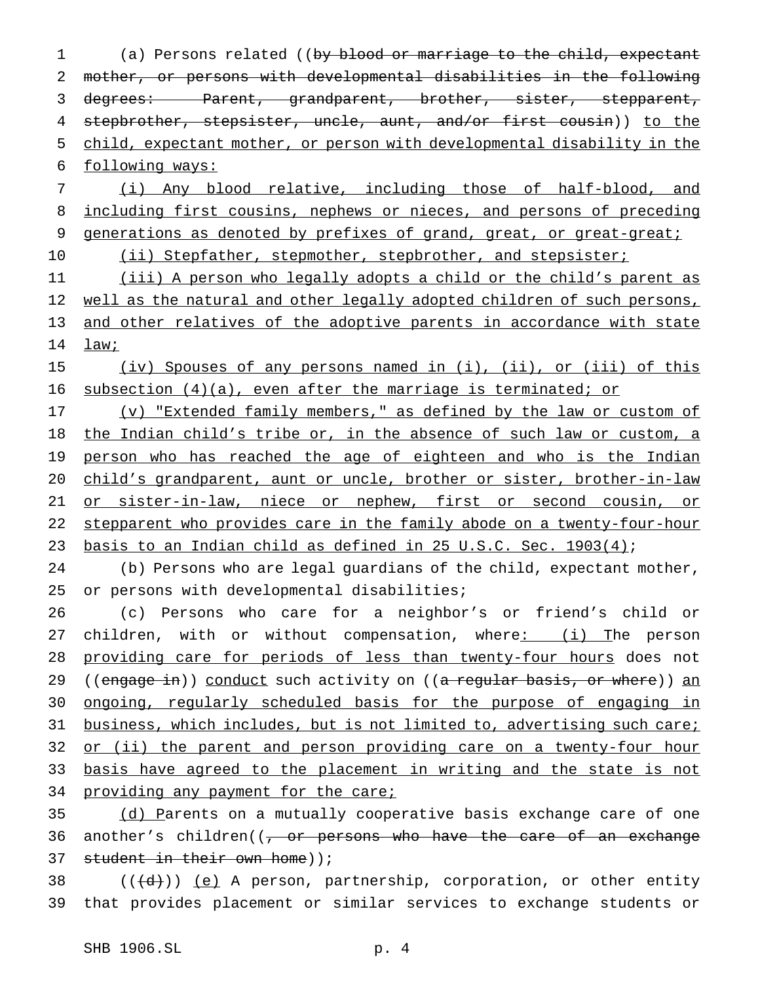(a) Persons related ((by blood or marriage to the child, expectant mother, or persons with developmental disabilities in the following 3 degrees: Parent, grandparent, brother, sister, stepparent, 4 stepbrother, stepsister, uncle, aunt, and/or first cousin)) to the child, expectant mother, or person with developmental disability in the following ways:

7 (i) Any blood relative, including those of half-blood, and 8 including first cousins, nephews or nieces, and persons of preceding 9 generations as denoted by prefixes of grand, great, or great-great;

10 (ii) Stepfather, stepmother, stepbrother, and stepsister;

11 (iii) A person who legally adopts a child or the child's parent as 12 well as the natural and other legally adopted children of such persons, 13 and other relatives of the adoptive parents in accordance with state 14 law;

15 (iv) Spouses of any persons named in (i), (ii), or (iii) of this 16 subsection (4)(a), even after the marriage is terminated; or

17 (v) "Extended family members," as defined by the law or custom of 18 the Indian child's tribe or, in the absence of such law or custom, a 19 person who has reached the age of eighteen and who is the Indian 20 child's grandparent, aunt or uncle, brother or sister, brother-in-law 21 or sister-in-law, niece or nephew, first or second cousin, or 22 stepparent who provides care in the family abode on a twenty-four-hour 23 basis to an Indian child as defined in 25 U.S.C. Sec. 1903(4);

24 (b) Persons who are legal guardians of the child, expectant mother, 25 or persons with developmental disabilities;

26 (c) Persons who care for a neighbor's or friend's child or 27 children, with or without compensation, where: (i) The person 28 providing care for periods of less than twenty-four hours does not 29 ((engage in)) conduct such activity on ((a regular basis, or where)) an 30 ongoing, regularly scheduled basis for the purpose of engaging in 31 business, which includes, but is not limited to, advertising such care; 32 or (ii) the parent and person providing care on a twenty-four hour 33 basis have agreed to the placement in writing and the state is not 34 providing any payment for the care;

35 (d) Parents on a mutually cooperative basis exchange care of one 36 another's children((<del>, or persons who have the care of an exchange</del> 37 student in their own home));

38 ( $(\overline{\{d\}})$ ) (e) A person, partnership, corporation, or other entity 39 that provides placement or similar services to exchange students or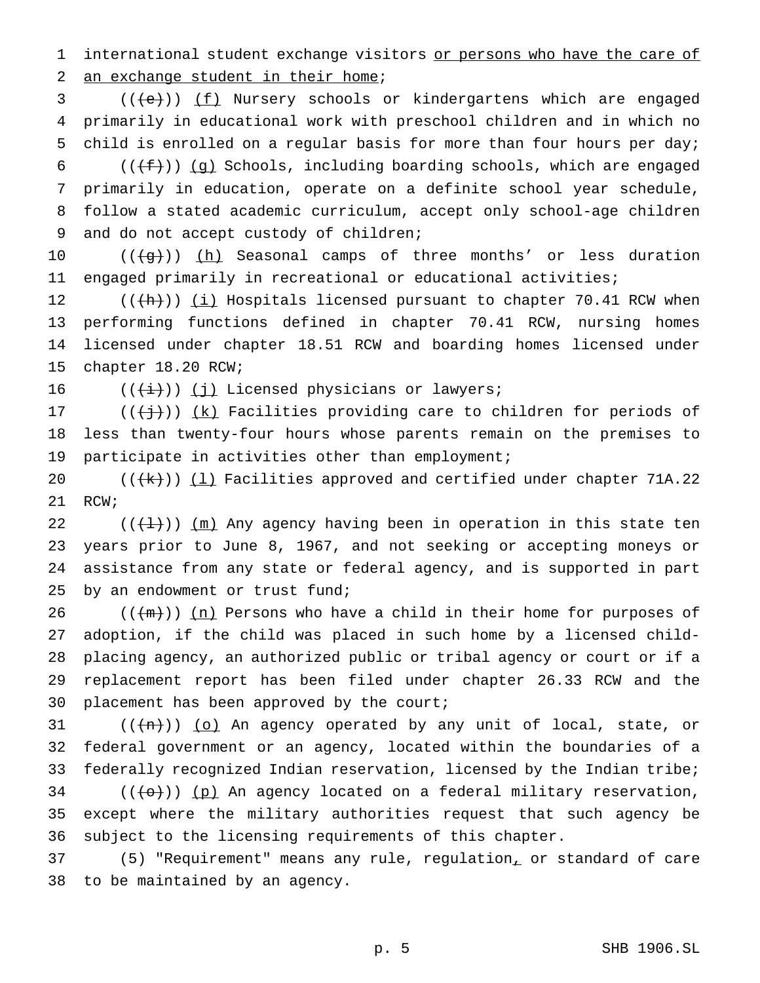1 international student exchange visitors or persons who have the care of 2 an exchange student in their home;

3 (((e))) (f) Nursery schools or kindergartens which are engaged primarily in educational work with preschool children and in which no child is enrolled on a regular basis for more than four hours per day;

6 ( $(\{\text{f}\})$ ) (g) Schools, including boarding schools, which are engaged primarily in education, operate on a definite school year schedule, follow a stated academic curriculum, accept only school-age children and do not accept custody of children;

10  $((+g+))$  ( $\underline{h}$ ) Seasonal camps of three months' or less duration engaged primarily in recreational or educational activities;

12 (( $\frac{h}{h}$ )) <u>(i)</u> Hospitals licensed pursuant to chapter 70.41 RCW when performing functions defined in chapter 70.41 RCW, nursing homes licensed under chapter 18.51 RCW and boarding homes licensed under chapter 18.20 RCW;

16  $((\overleftrightarrow{t}))$  (j) Licensed physicians or lawyers;

 $((\dagger)^{\dagger})$  (k) Facilities providing care to children for periods of less than twenty-four hours whose parents remain on the premises to participate in activities other than employment;

 $((+k))$   $(1)$  Facilities approved and certified under chapter 71A.22 RCW;

22 ( $(\{\pm\})$ )  $\{\pm\}$ ) Any agency having been in operation in this state ten years prior to June 8, 1967, and not seeking or accepting moneys or assistance from any state or federal agency, and is supported in part by an endowment or trust fund;

26 ( $(\pm m)$ ) (n) Persons who have a child in their home for purposes of adoption, if the child was placed in such home by a licensed child- placing agency, an authorized public or tribal agency or court or if a replacement report has been filed under chapter 26.33 RCW and the placement has been approved by the court;

 (( $\{n\})$ ) (o) An agency operated by any unit of local, state, or federal government or an agency, located within the boundaries of a federally recognized Indian reservation, licensed by the Indian tribe; (( $\left(\left(\left\lbrace \Theta\right\rbrace\right)\right)$  (p) An agency located on a federal military reservation, except where the military authorities request that such agency be subject to the licensing requirements of this chapter.

 (5) "Requirement" means any rule, regulation, or standard of care to be maintained by an agency.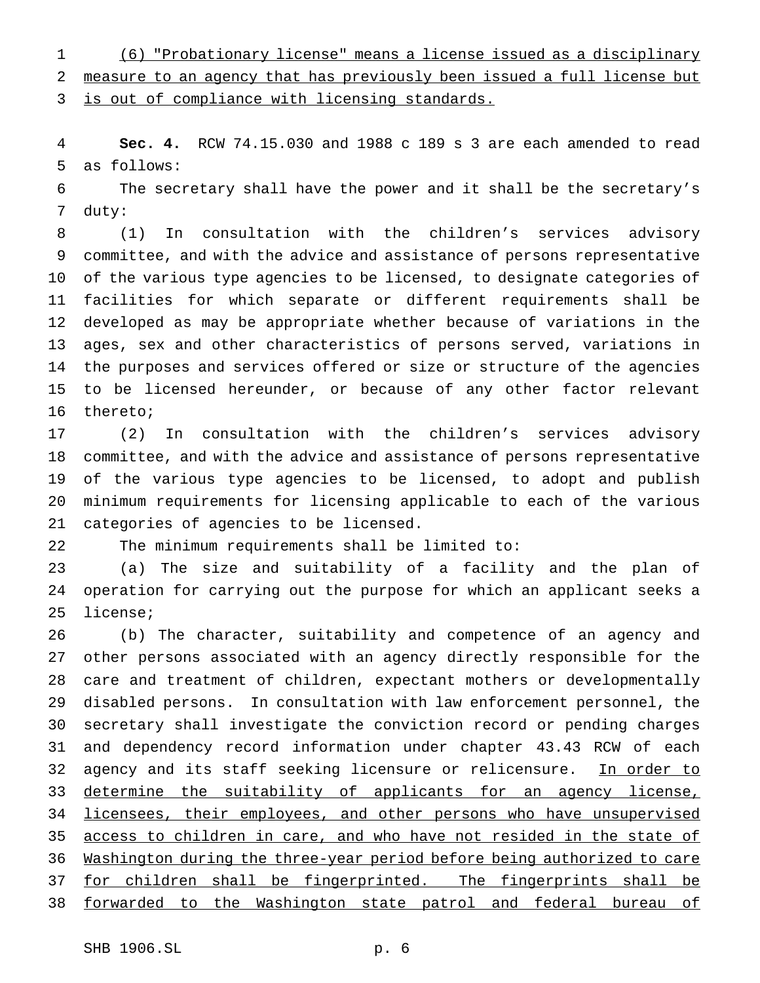(6) "Probationary license" means a license issued as a disciplinary measure to an agency that has previously been issued a full license but 3 is out of compliance with licensing standards.

 **Sec. 4.** RCW 74.15.030 and 1988 c 189 s 3 are each amended to read as follows:

 The secretary shall have the power and it shall be the secretary's duty:

 (1) In consultation with the children's services advisory committee, and with the advice and assistance of persons representative of the various type agencies to be licensed, to designate categories of facilities for which separate or different requirements shall be developed as may be appropriate whether because of variations in the ages, sex and other characteristics of persons served, variations in the purposes and services offered or size or structure of the agencies to be licensed hereunder, or because of any other factor relevant thereto;

 (2) In consultation with the children's services advisory committee, and with the advice and assistance of persons representative of the various type agencies to be licensed, to adopt and publish minimum requirements for licensing applicable to each of the various categories of agencies to be licensed.

The minimum requirements shall be limited to:

 (a) The size and suitability of a facility and the plan of operation for carrying out the purpose for which an applicant seeks a license;

 (b) The character, suitability and competence of an agency and other persons associated with an agency directly responsible for the care and treatment of children, expectant mothers or developmentally disabled persons. In consultation with law enforcement personnel, the secretary shall investigate the conviction record or pending charges and dependency record information under chapter 43.43 RCW of each 32 agency and its staff seeking licensure or relicensure. In order to 33 determine the suitability of applicants for an agency license, 34 licensees, their employees, and other persons who have unsupervised 35 access to children in care, and who have not resided in the state of Washington during the three-year period before being authorized to care for children shall be fingerprinted. The fingerprints shall be forwarded to the Washington state patrol and federal bureau of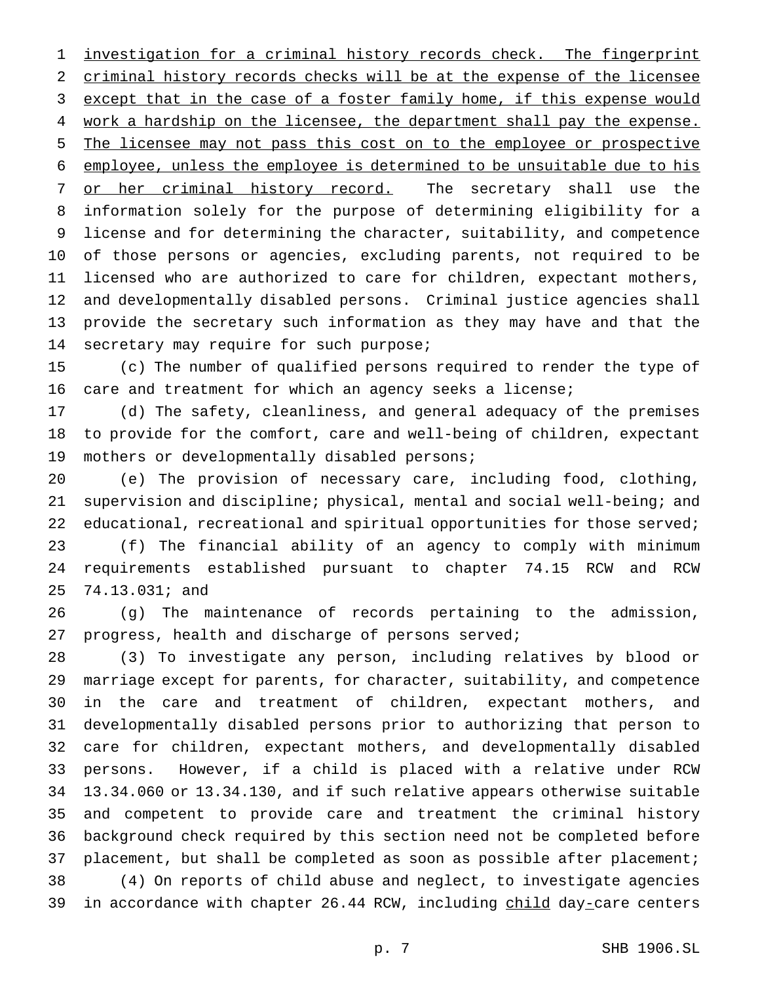investigation for a criminal history records check. The fingerprint criminal history records checks will be at the expense of the licensee 3 except that in the case of a foster family home, if this expense would 4 work a hardship on the licensee, the department shall pay the expense. The licensee may not pass this cost on to the employee or prospective employee, unless the employee is determined to be unsuitable due to his 7 or her criminal history record. The secretary shall use the information solely for the purpose of determining eligibility for a license and for determining the character, suitability, and competence of those persons or agencies, excluding parents, not required to be licensed who are authorized to care for children, expectant mothers, and developmentally disabled persons. Criminal justice agencies shall provide the secretary such information as they may have and that the 14 secretary may require for such purpose;

 (c) The number of qualified persons required to render the type of care and treatment for which an agency seeks a license;

 (d) The safety, cleanliness, and general adequacy of the premises to provide for the comfort, care and well-being of children, expectant mothers or developmentally disabled persons;

 (e) The provision of necessary care, including food, clothing, supervision and discipline; physical, mental and social well-being; and educational, recreational and spiritual opportunities for those served; (f) The financial ability of an agency to comply with minimum requirements established pursuant to chapter 74.15 RCW and RCW 74.13.031; and

 (g) The maintenance of records pertaining to the admission, progress, health and discharge of persons served;

 (3) To investigate any person, including relatives by blood or marriage except for parents, for character, suitability, and competence in the care and treatment of children, expectant mothers, and developmentally disabled persons prior to authorizing that person to care for children, expectant mothers, and developmentally disabled persons. However, if a child is placed with a relative under RCW 13.34.060 or 13.34.130, and if such relative appears otherwise suitable and competent to provide care and treatment the criminal history background check required by this section need not be completed before 37 placement, but shall be completed as soon as possible after placement; (4) On reports of child abuse and neglect, to investigate agencies 39 in accordance with chapter 26.44 RCW, including child day-care centers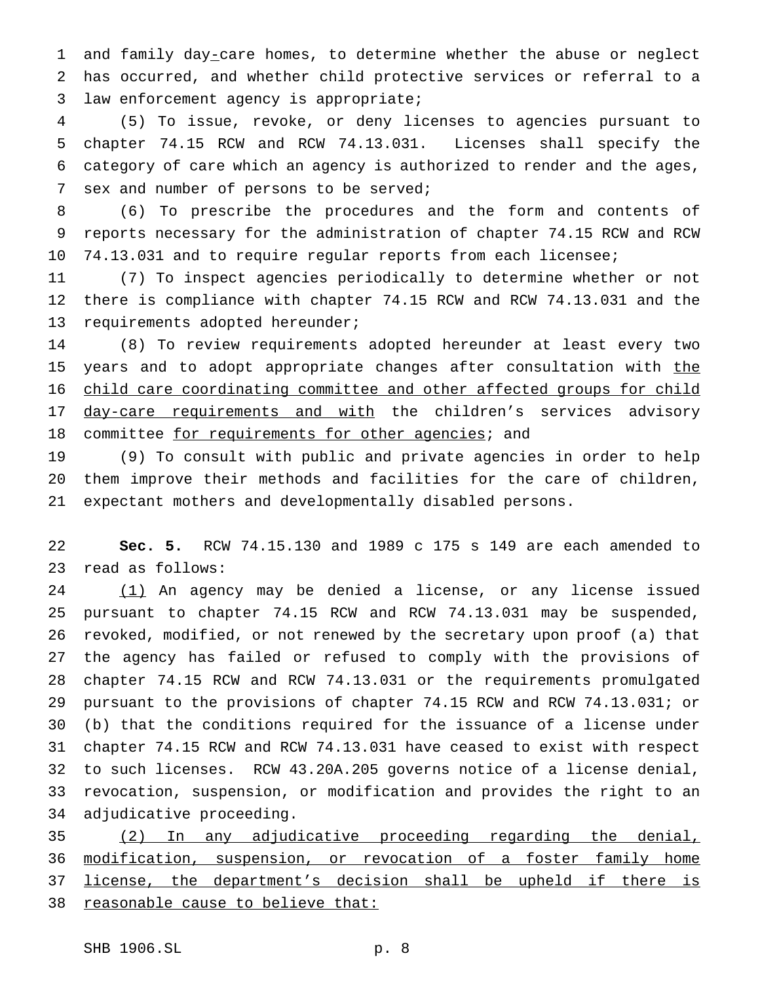1 and family day-care homes, to determine whether the abuse or neglect has occurred, and whether child protective services or referral to a law enforcement agency is appropriate;

 (5) To issue, revoke, or deny licenses to agencies pursuant to chapter 74.15 RCW and RCW 74.13.031. Licenses shall specify the category of care which an agency is authorized to render and the ages, sex and number of persons to be served;

 (6) To prescribe the procedures and the form and contents of reports necessary for the administration of chapter 74.15 RCW and RCW 74.13.031 and to require regular reports from each licensee;

 (7) To inspect agencies periodically to determine whether or not there is compliance with chapter 74.15 RCW and RCW 74.13.031 and the requirements adopted hereunder;

 (8) To review requirements adopted hereunder at least every two 15 years and to adopt appropriate changes after consultation with the child care coordinating committee and other affected groups for child 17 day-care requirements and with the children's services advisory 18 committee for requirements for other agencies; and

 (9) To consult with public and private agencies in order to help them improve their methods and facilities for the care of children, expectant mothers and developmentally disabled persons.

 **Sec. 5.** RCW 74.15.130 and 1989 c 175 s 149 are each amended to read as follows:

24 (1) An agency may be denied a license, or any license issued pursuant to chapter 74.15 RCW and RCW 74.13.031 may be suspended, revoked, modified, or not renewed by the secretary upon proof (a) that the agency has failed or refused to comply with the provisions of chapter 74.15 RCW and RCW 74.13.031 or the requirements promulgated pursuant to the provisions of chapter 74.15 RCW and RCW 74.13.031; or (b) that the conditions required for the issuance of a license under chapter 74.15 RCW and RCW 74.13.031 have ceased to exist with respect to such licenses. RCW 43.20A.205 governs notice of a license denial, revocation, suspension, or modification and provides the right to an adjudicative proceeding.

 (2) In any adjudicative proceeding regarding the denial, modification, suspension, or revocation of a foster family home license, the department's decision shall be upheld if there is reasonable cause to believe that: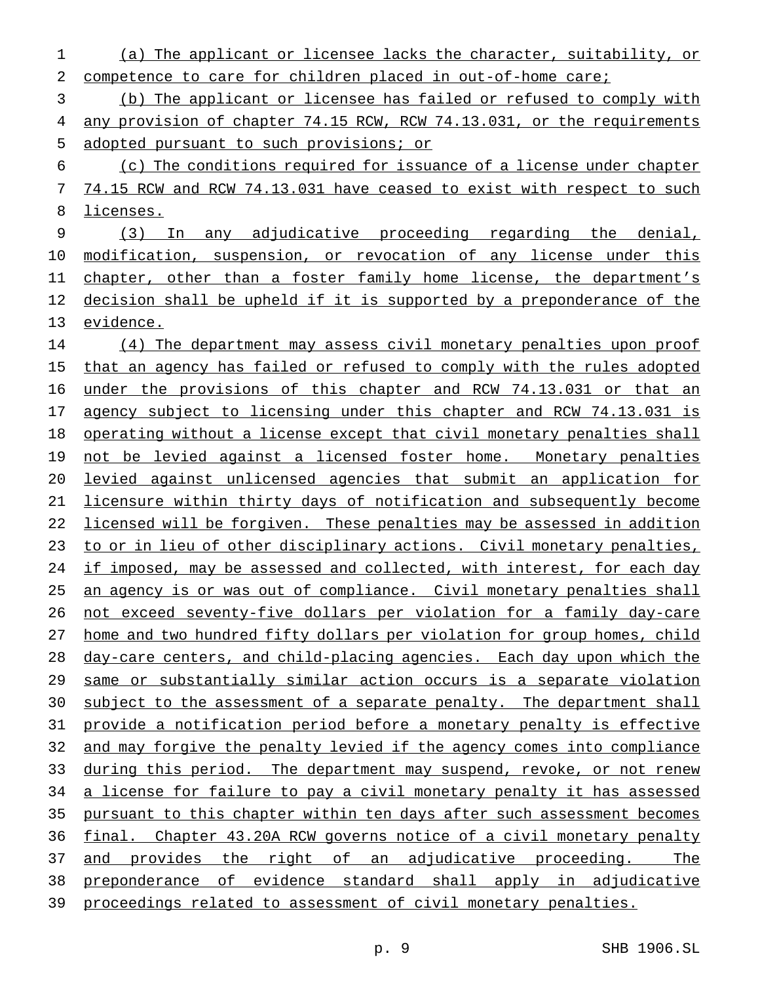(a) The applicant or licensee lacks the character, suitability, or 2 competence to care for children placed in out-of-home care;

 (b) The applicant or licensee has failed or refused to comply with any provision of chapter 74.15 RCW, RCW 74.13.031, or the requirements adopted pursuant to such provisions; or

 (c) The conditions required for issuance of a license under chapter 74.15 RCW and RCW 74.13.031 have ceased to exist with respect to such licenses.

 (3) In any adjudicative proceeding regarding the denial, modification, suspension, or revocation of any license under this 11 chapter, other than a foster family home license, the department's decision shall be upheld if it is supported by a preponderance of the evidence.

 (4) The department may assess civil monetary penalties upon proof 15 that an agency has failed or refused to comply with the rules adopted under the provisions of this chapter and RCW 74.13.031 or that an 17 agency subject to licensing under this chapter and RCW 74.13.031 is operating without a license except that civil monetary penalties shall not be levied against a licensed foster home. Monetary penalties levied against unlicensed agencies that submit an application for licensure within thirty days of notification and subsequently become licensed will be forgiven. These penalties may be assessed in addition to or in lieu of other disciplinary actions. Civil monetary penalties, 24 if imposed, may be assessed and collected, with interest, for each day an agency is or was out of compliance. Civil monetary penalties shall not exceed seventy-five dollars per violation for a family day-care home and two hundred fifty dollars per violation for group homes, child day-care centers, and child-placing agencies. Each day upon which the same or substantially similar action occurs is a separate violation 30 subject to the assessment of a separate penalty. The department shall provide a notification period before a monetary penalty is effective and may forgive the penalty levied if the agency comes into compliance during this period. The department may suspend, revoke, or not renew 34 a license for failure to pay a civil monetary penalty it has assessed pursuant to this chapter within ten days after such assessment becomes final. Chapter 43.20A RCW governs notice of a civil monetary penalty 37 and provides the right of an adjudicative proceeding. The preponderance of evidence standard shall apply in adjudicative proceedings related to assessment of civil monetary penalties.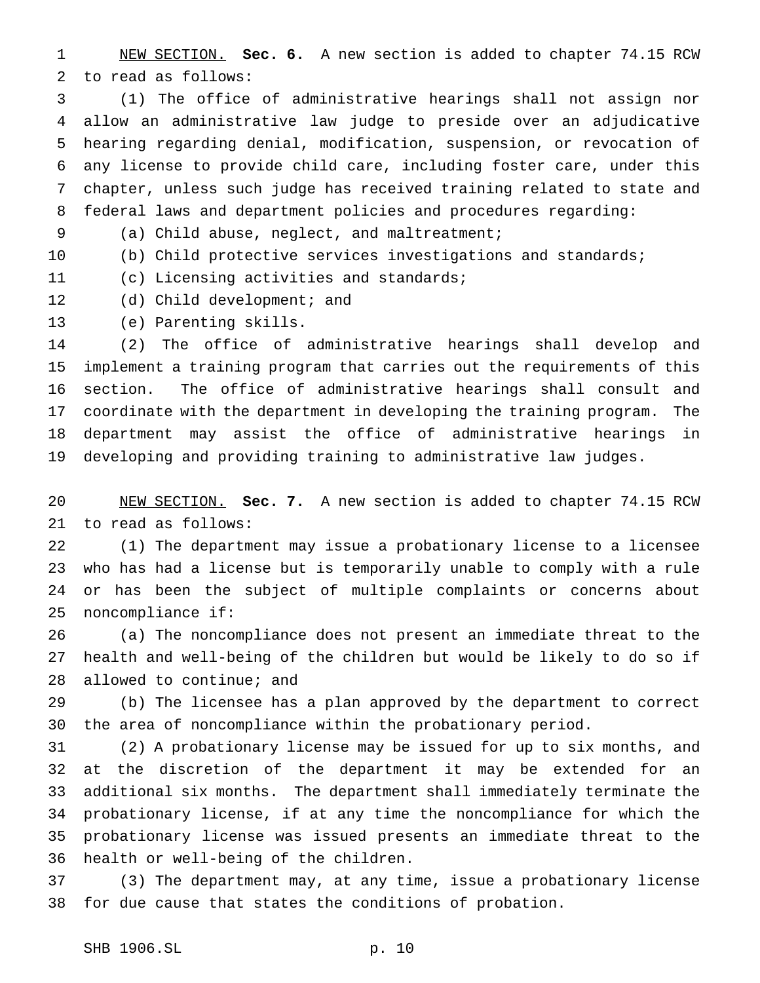NEW SECTION. **Sec. 6.** A new section is added to chapter 74.15 RCW to read as follows:

 (1) The office of administrative hearings shall not assign nor allow an administrative law judge to preside over an adjudicative hearing regarding denial, modification, suspension, or revocation of any license to provide child care, including foster care, under this chapter, unless such judge has received training related to state and federal laws and department policies and procedures regarding:

(a) Child abuse, neglect, and maltreatment;

(b) Child protective services investigations and standards;

(c) Licensing activities and standards;

12 (d) Child development; and

(e) Parenting skills.

 (2) The office of administrative hearings shall develop and implement a training program that carries out the requirements of this section. The office of administrative hearings shall consult and coordinate with the department in developing the training program. The department may assist the office of administrative hearings in developing and providing training to administrative law judges.

 NEW SECTION. **Sec. 7.** A new section is added to chapter 74.15 RCW to read as follows:

 (1) The department may issue a probationary license to a licensee who has had a license but is temporarily unable to comply with a rule or has been the subject of multiple complaints or concerns about noncompliance if:

 (a) The noncompliance does not present an immediate threat to the health and well-being of the children but would be likely to do so if allowed to continue; and

 (b) The licensee has a plan approved by the department to correct the area of noncompliance within the probationary period.

 (2) A probationary license may be issued for up to six months, and at the discretion of the department it may be extended for an additional six months. The department shall immediately terminate the probationary license, if at any time the noncompliance for which the probationary license was issued presents an immediate threat to the health or well-being of the children.

 (3) The department may, at any time, issue a probationary license for due cause that states the conditions of probation.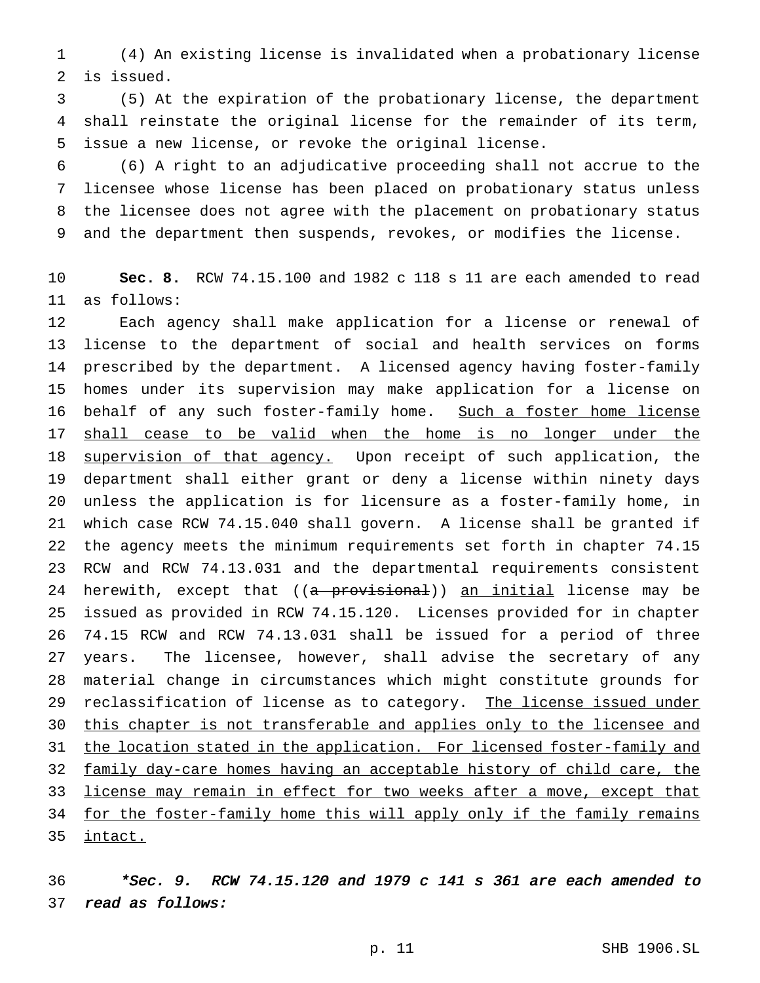(4) An existing license is invalidated when a probationary license is issued.

 (5) At the expiration of the probationary license, the department shall reinstate the original license for the remainder of its term, issue a new license, or revoke the original license.

 (6) A right to an adjudicative proceeding shall not accrue to the licensee whose license has been placed on probationary status unless the licensee does not agree with the placement on probationary status and the department then suspends, revokes, or modifies the license.

 **Sec. 8.** RCW 74.15.100 and 1982 c 118 s 11 are each amended to read as follows:

 Each agency shall make application for a license or renewal of license to the department of social and health services on forms prescribed by the department. A licensed agency having foster-family homes under its supervision may make application for a license on 16 behalf of any such foster-family home. Such a foster home license shall cease to be valid when the home is no longer under the 18 supervision of that agency. Upon receipt of such application, the department shall either grant or deny a license within ninety days unless the application is for licensure as a foster-family home, in which case RCW 74.15.040 shall govern. A license shall be granted if the agency meets the minimum requirements set forth in chapter 74.15 RCW and RCW 74.13.031 and the departmental requirements consistent 24 herewith, except that ((a provisional)) an initial license may be issued as provided in RCW 74.15.120. Licenses provided for in chapter 74.15 RCW and RCW 74.13.031 shall be issued for a period of three years. The licensee, however, shall advise the secretary of any material change in circumstances which might constitute grounds for 29 reclassification of license as to category. The license issued under 30 this chapter is not transferable and applies only to the licensee and 31 the location stated in the application. For licensed foster-family and family day-care homes having an acceptable history of child care, the 33 license may remain in effect for two weeks after a move, except that for the foster-family home this will apply only if the family remains intact.

 \*Sec. 9. RCW 74.15.120 and <sup>1979</sup> <sup>c</sup> <sup>141</sup> <sup>s</sup> <sup>361</sup> are each amended to read as follows: